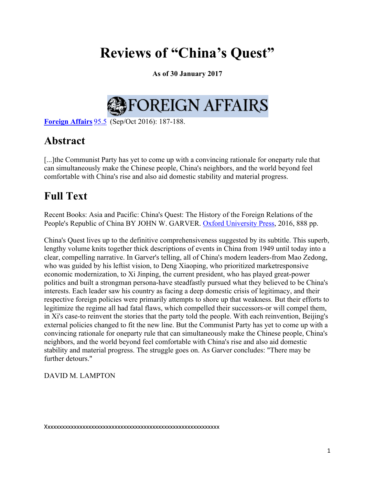# **Reviews of "China's Quest"**

**As of 30 January 2017**

# FOREIGN AFFAIRS

**Foreign Affairs** 95.5 (Sep/Oct 2016): 187-188.

## **Abstract**

[...] the Communist Party has yet to come up with a convincing rationale for oneparty rule that can simultaneously make the Chinese people, China's neighbors, and the world beyond feel comfortable with China's rise and also aid domestic stability and material progress.

## **Full Text**

Recent Books: Asia and Pacific: China's Quest: The History of the Foreign Relations of the People's Republic of China BY JOHN W. GARVER. Oxford University Press, 2016, 888 pp.

China's Quest lives up to the definitive comprehensiveness suggested by its subtitle. This superb, lengthy volume knits together thick descriptions of events in China from 1949 until today into a clear, compelling narrative. In Garver's telling, all of China's modern leaders-from Mao Zedong, who was guided by his leftist vision, to Deng Xiaoping, who prioritized marketresponsive economic modernization, to Xi Jinping, the current president, who has played great-power politics and built a strongman persona-have steadfastly pursued what they believed to be China's interests. Each leader saw his country as facing a deep domestic crisis of legitimacy, and their respective foreign policies were primarily attempts to shore up that weakness. But their efforts to legitimize the regime all had fatal flaws, which compelled their successors-or will compel them, in Xi's case-to reinvent the stories that the party told the people. With each reinvention, Beijing's external policies changed to fit the new line. But the Communist Party has yet to come up with a convincing rationale for oneparty rule that can simultaneously make the Chinese people, China's neighbors, and the world beyond feel comfortable with China's rise and also aid domestic stability and material progress. The struggle goes on. As Garver concludes: "There may be further detours."

### DAVID M. LAMPTON

Xxxxxxxxxxxxxxxxxxxxxxxxxxxxxxxxxxxxxxxxxxxxxxxxxxxxxxxxxxxx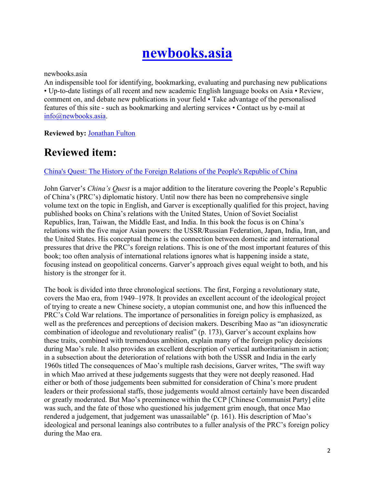# **newbooks.asia**

newbooks.asia

An indispensible tool for identifying, bookmarking, evaluating and purchasing new publications • Up-to-date listings of all recent and new academic English language books on Asia • Review, comment on, and debate new publications in your field • Take advantage of the personalised features of this site - such as bookmarking and alerting services • Contact us by e-mail at info@newbooks.asia.

**Reviewed by:** Jonathan Fulton

## **Reviewed item:**

### China's Quest: The History of the Foreign Relations of the People's Republic of China

John Garver's *China's Quest* is a major addition to the literature covering the People's Republic of China's (PRC's) diplomatic history. Until now there has been no comprehensive single volume text on the topic in English, and Garver is exceptionally qualified for this project, having published books on China's relations with the United States, Union of Soviet Socialist Republics, Iran, Taiwan, the Middle East, and India. In this book the focus is on China's relations with the five major Asian powers: the USSR/Russian Federation, Japan, India, Iran, and the United States. His conceptual theme is the connection between domestic and international pressures that drive the PRC's foreign relations. This is one of the most important features of this book; too often analysis of international relations ignores what is happening inside a state, focusing instead on geopolitical concerns. Garver's approach gives equal weight to both, and his history is the stronger for it.

The book is divided into three chronological sections. The first, Forging a revolutionary state, covers the Mao era, from 1949–1978. It provides an excellent account of the ideological project of trying to create a new Chinese society, a utopian communist one, and how this influenced the PRC's Cold War relations. The importance of personalities in foreign policy is emphasized, as well as the preferences and perceptions of decision makers. Describing Mao as "an idiosyncratic combination of ideologue and revolutionary realist" (p. 173), Garver's account explains how these traits, combined with tremendous ambition, explain many of the foreign policy decisions during Mao's rule. It also provides an excellent description of vertical authoritarianism in action; in a subsection about the deterioration of relations with both the USSR and India in the early 1960s titled The consequences of Mao's multiple rash decisions, Garver writes, "The swift way in which Mao arrived at these judgements suggests that they were not deeply reasoned. Had either or both of those judgements been submitted for consideration of China's more prudent leaders or their professional staffs, those judgements would almost certainly have been discarded or greatly moderated. But Mao's preeminence within the CCP [Chinese Communist Party] elite was such, and the fate of those who questioned his judgement grim enough, that once Mao rendered a judgement, that judgement was unassailable" (p. 161). His description of Mao's ideological and personal leanings also contributes to a fuller analysis of the PRC's foreign policy during the Mao era.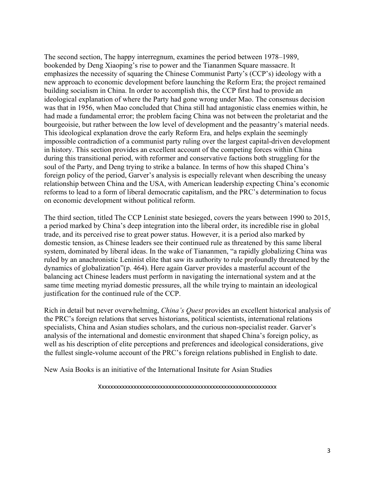The second section, The happy interregnum, examines the period between 1978–1989, bookended by Deng Xiaoping's rise to power and the Tiananmen Square massacre. It emphasizes the necessity of squaring the Chinese Communist Party's (CCP's) ideology with a new approach to economic development before launching the Reform Era; the project remained building socialism in China. In order to accomplish this, the CCP first had to provide an ideological explanation of where the Party had gone wrong under Mao. The consensus decision was that in 1956, when Mao concluded that China still had antagonistic class enemies within, he had made a fundamental error; the problem facing China was not between the proletariat and the bourgeoisie, but rather between the low level of development and the peasantry's material needs. This ideological explanation drove the early Reform Era, and helps explain the seemingly impossible contradiction of a communist party ruling over the largest capital-driven development in history. This section provides an excellent account of the competing forces within China during this transitional period, with reformer and conservative factions both struggling for the soul of the Party, and Deng trying to strike a balance. In terms of how this shaped China's foreign policy of the period, Garver's analysis is especially relevant when describing the uneasy relationship between China and the USA, with American leadership expecting China's economic reforms to lead to a form of liberal democratic capitalism, and the PRC's determination to focus on economic development without political reform.

The third section, titled The CCP Leninist state besieged, covers the years between 1990 to 2015, a period marked by China's deep integration into the liberal order, its incredible rise in global trade, and its perceived rise to great power status. However, it is a period also marked by domestic tension, as Chinese leaders see their continued rule as threatened by this same liberal system, dominated by liberal ideas. In the wake of Tiananmen, "a rapidly globalizing China was ruled by an anachronistic Leninist elite that saw its authority to rule profoundly threatened by the dynamics of globalization"(p. 464). Here again Garver provides a masterful account of the balancing act Chinese leaders must perform in navigating the international system and at the same time meeting myriad domestic pressures, all the while trying to maintain an ideological justification for the continued rule of the CCP.

Rich in detail but never overwhelming, *China's Quest* provides an excellent historical analysis of the PRC's foreign relations that serves historians, political scientists, international relations specialists, China and Asian studies scholars, and the curious non-specialist reader. Garver's analysis of the international and domestic environment that shaped China's foreign policy, as well as his description of elite perceptions and preferences and ideological considerations, give the fullest single-volume account of the PRC's foreign relations published in English to date.

New Asia Books is an initiative of the International Insitute for Asian Studies

Xxxxxxxxxxxxxxxxxxxxxxxxxxxxxxxxxxxxxxxxxxxxxxxxxxxxxxxxxxxxx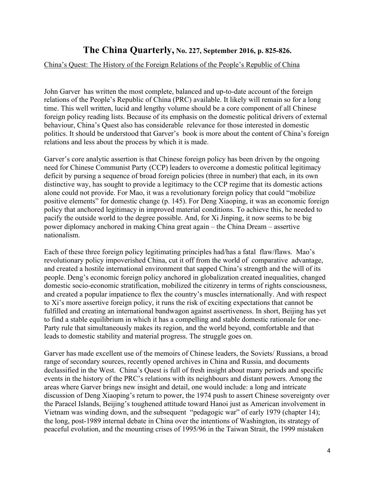## **The China Quarterly, No. 227, September 2016, p. 825-826.**

#### China's Quest: The History of the Foreign Relations of the People's Republic of China

John Garver has written the most complete, balanced and up-to-date account of the foreign relations of the People's Republic of China (PRC) available. It likely will remain so for a long time. This well written, lucid and lengthy volume should be a core component of all Chinese foreign policy reading lists. Because of its emphasis on the domestic political drivers of external behaviour, China's Quest also has considerable relevance for those interested in domestic politics. It should be understood that Garver's book is more about the content of China's foreign relations and less about the process by which it is made.

Garver's core analytic assertion is that Chinese foreign policy has been driven by the ongoing need for Chinese Communist Party (CCP) leaders to overcome a domestic political legitimacy deficit by pursing a sequence of broad foreign policies (three in number) that each, in its own distinctive way, has sought to provide a legitimacy to the CCP regime that its domestic actions alone could not provide. For Mao, it was a revolutionary foreign policy that could "mobilize positive elements" for domestic change (p. 145). For Deng Xiaoping, it was an economic foreign policy that anchored legitimacy in improved material conditions. To achieve this, he needed to pacify the outside world to the degree possible. And, for Xi Jinping, it now seems to be big power diplomacy anchored in making China great again – the China Dream – assertive nationalism.

Each of these three foreign policy legitimating principles had/has a fatal flaw/flaws. Mao's revolutionary policy impoverished China, cut it off from the world of comparative advantage, and created a hostile international environment that sapped China's strength and the will of its people. Deng's economic foreign policy anchored in globalization created inequalities, changed domestic socio-economic stratification, mobilized the citizenry in terms of rights consciousness, and created a popular impatience to flex the country's muscles internationally. And with respect to Xi's more assertive foreign policy, it runs the risk of exciting expectations that cannot be fulfilled and creating an international bandwagon against assertiveness. In short, Beijing has yet to find a stable equilibrium in which it has a compelling and stable domestic rationale for one-Party rule that simultaneously makes its region, and the world beyond, comfortable and that leads to domestic stability and material progress. The struggle goes on.

Garver has made excellent use of the memoirs of Chinese leaders, the Soviets/ Russians, a broad range of secondary sources, recently opened archives in China and Russia, and documents declassified in the West. China's Quest is full of fresh insight about many periods and specific events in the history of the PRC's relations with its neighbours and distant powers. Among the areas where Garver brings new insight and detail, one would include: a long and intricate discussion of Deng Xiaoping's return to power, the 1974 push to assert Chinese sovereignty over the Paracel Islands, Beijing's toughened attitude toward Hanoi just as American involvement in Vietnam was winding down, and the subsequent "pedagogic war" of early 1979 (chapter 14); the long, post-1989 internal debate in China over the intentions of Washington, its strategy of peaceful evolution, and the mounting crises of 1995/96 in the Taiwan Strait, the 1999 mistaken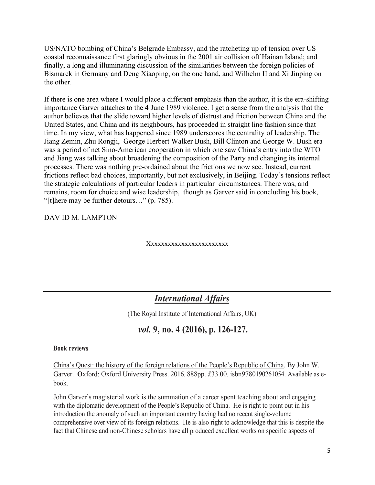US/NATO bombing of China's Belgrade Embassy, and the ratcheting up of tension over US coastal reconnaissance first glaringly obvious in the 2001 air collision off Hainan Island; and finally, a long and illuminating discussion of the similarities between the foreign policies of Bismarck in Germany and Deng Xiaoping, on the one hand, and Wilhelm II and Xi Jinping on the other.

If there is one area where I would place a different emphasis than the author, it is the era-shifting importance Garver attaches to the 4 June 1989 violence. I get a sense from the analysis that the author believes that the slide toward higher levels of distrust and friction between China and the United States, and China and its neighbours, has proceeded in straight line fashion since that time. In my view, what has happened since 1989 underscores the centrality of leadership. The Jiang Zemin, Zhu Rongji, George Herbert Walker Bush, Bill Clinton and George W. Bush era was a period of net Sino-American cooperation in which one saw China's entry into the WTO and Jiang was talking about broadening the composition of the Party and changing its internal processes. There was nothing pre-ordained about the frictions we now see. Instead, current frictions reflect bad choices, importantly, but not exclusively, in Beijing. Today's tensions reflect the strategic calculations of particular leaders in particular circumstances. There was, and remains, room for choice and wise leadership, though as Garver said in concluding his book, "[t]here may be further detours…" (p. 785).

DAV ID M. LAMPTON

Xxxxxxxxxxxxxxxxxxxxxxxx

### *International Affairs*

(The Royal Institute of International Affairs, UK)

## *vol.* **9, no. 4 (2016), p. 126-127.**

**Book reviews**

China's Quest: the history of the foreign relations of the People's Republic of China. By John W. Garver. **O**xford: Oxford University Press. 2016. 888pp. £33.00. isbn9780190261054. Available as ebook.

John Garver's magisterial work is the summation of a career spent teaching about and engaging with the diplomatic development of the People's Republic of China. He is right to point out in his introduction the anomaly of such an important country having had no recent single-volume comprehensive over view of its foreign relations. He is also right to acknowledge that this is despite the fact that Chinese and non-Chinese scholars have all produced excellent works on specific aspects of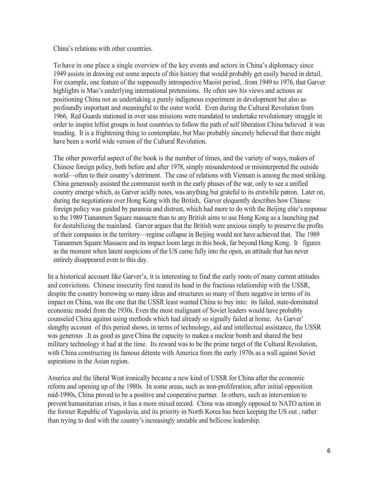China's relations with other countries.

To have in one place a single overview of the key events and actors in China's diplomacy since 1949 assists in drawing out some aspects of this history that would probably get easily buried in detail. For example, one feature of the supposedly introspective Maoist period, .from 1949 to 1976, that Garver highlights is Mao's underlying international pretensions. He often saw his views and actions as positioning China not as undertaking a purely indigenous experiment in development but also as profoundly important and meaningful to the outer world. Even during the Cultural Revolution from 1966, Red Guards stationed in over seas missions were mandated to undertake revolutionary struggle in order to inspire leftist groups in host countries to follow the path of self liberation China believed it was treading. It is a frightening thing to contemplate, but Mao probably sincerely believed that there might have been a world wide version of the Cultural Revolution.

The other powerful aspect of the book is the number of times, and the variety of ways, makers of Chinese foreign policy, both before and after 1978, simply misunderstood or misinterpreted the outside world—often to their country's detriment. The case of relations with Vietnam is among the most striking. China generously assisted the communist north in the early phases of the war, only to see a unified country emerge which, as Garver acidly notes, was anything but grateful to its erstwhile patron. Later on, during the negotiations over Hong Kong with the British, Garver eloquently describes how Chinese foreign policy was guided by paranoia and distrust, which had more to do with the Beijing elite's response to the 1989 Tiananmen Square massacre than to any British aims to use Hong Kong as a launching pad for destabilizing the mainland. Garver argues that the British were anxious simply to preserve the profits of their companies in the territory—regime collapse in Beijing would not have achieved that. The 1989 Tiananmen Square Massacre and its impact loom large in this book, far beyond Hong Kong. It figures as the moment when latent suspicions of the US came fully into the open, an attitude that has never entirely disappeared even to this day.

In a historical account like Garver's, it is interesting to find the early roots of many current attitudes and convictions. Chinese insecurity first reared its head in the fractious relationship with the USSR, despite the country borrowing so many ideas and structures so many of them negative in terms of its impact on China, was the one that the USSR least wanted China to buy into: its failed, state-dominated economic model from the 1930s. Even the most malignant of Soviet leaders would have probably counseled China against using methods which had already so signally failed at home. As Garver' slengthy account of this period shows, in terms of technology, aid and intellectual assistance, the USSR was generous .It as good as gave China the capacity to makea a nuclear bomb and shared the best military technology it had at the time. Its reward was to be the prime target of the Cultural Revolution, with China constructing its famous détente with America from the early 1970s as a wall against Soviet aspirations in the Asian region.

America and the liberal West ironically became a new kind of USSR for China after the economic reform and opening up of the 1980s. In some areas, such as non-proliferation, after initial opposition mid-1990s, China proved to be a positive and cooperative partner. In others, such as intervention to prevent humanitarian crises, it has a more mixed record. China was strongly opposed to NATO action in the former Republic of Yugoslavia, and its priority in North Korea has been keeping the US out , rather than trying to deal with the country's increasingly unstable and bellicose leadership.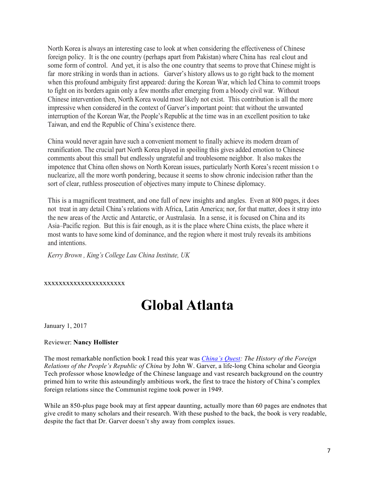North Korea is always an interesting case to look at when considering the effectiveness of Chinese foreign policy. It is the one country (perhaps apart from Pakistan) where China has real clout and some form of control. And yet, it is also the one country that seems to prove that Chinese might is far more striking in words than in actions. Garver's history allows us to go right back to the moment when this profound ambiguity first appeared: during the Korean War, which led China to commit troops to fight on its borders again only a few months after emerging from a bloody civil war. Without Chinese intervention then, North Korea would most likely not exist. This contribution is all the more impressive when considered in the context of Garver's important point: that without the unwanted interruption of the Korean War, the People's Republic at the time was in an excellent position to take Taiwan, and end the Republic of China's existence there.

China would never again have such a convenient moment to finally achieve its modern dream of reunification. The crucial part North Korea played in spoiling this gives added emotion to Chinese comments about this small but endlessly ungrateful and troublesome neighbor. It also makes the impotence that China often shows on North Korean issues, particularly North Korea's recent mission t o nuclearize, all the more worth pondering, because it seems to show chronic indecision rather than the sort of clear, ruthless prosecution of objectives many impute to Chinese diplomacy.

This is a magnificent treatment, and one full of new insights and angles. Even at 800 pages, it does not treat in any detail China's relations with Africa, Latin America; nor, for that matter, does it stray into the new areas of the Arctic and Antarctic, or Australasia. In a sense, it is focused on China and its Asia–Pacific region. But this is fair enough, as it is the place where China exists, the place where it most wants to have some kind of dominance, and the region where it most truly reveals its ambitions and intentions.

*Kerry Brown , King's College Lau China Institute, UK*

#### xxxxxxxxxxxxxxxxxxxxxx

## **Global Atlanta**

January 1, 2017

#### Reviewer: **Nancy Hollister**

The most remarkable nonfiction book I read this year was *China's Quest: The History of the Foreign Relations of the People's Republic of China* by John W. Garver, a life-long China scholar and Georgia Tech professor whose knowledge of the Chinese language and vast research background on the country primed him to write this astoundingly ambitious work, the first to trace the history of China's complex foreign relations since the Communist regime took power in 1949.

While an 850-plus page book may at first appear daunting, actually more than 60 pages are endnotes that give credit to many scholars and their research. With these pushed to the back, the book is very readable, despite the fact that Dr. Garver doesn't shy away from complex issues.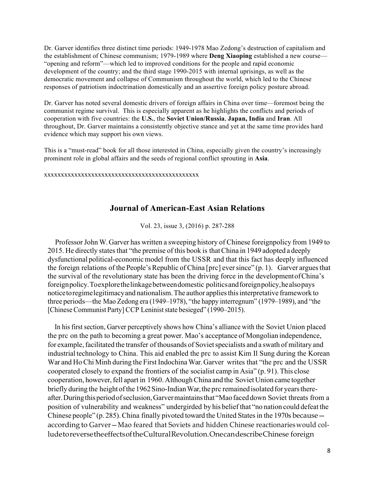Dr. Garver identifies three distinct time periods: 1949-1978 Mao Zedong's destruction of capitalism and the establishment of Chinese communism; 1979-1989 where **Deng Xiaoping** established a new course— "opening and reform"—which led to improved conditions for the people and rapid economic development of the country; and the third stage 1990-2015 with internal uprisings, as well as the democratic movement and collapse of Communism throughout the world, which led to the Chinese responses of patriotism indoctrination domestically and an assertive foreign policy posture abroad.

Dr. Garver has noted several domestic drivers of foreign affairs in China over time—foremost being the communist regime survival. This is especially apparent as he highlights the conflicts and periods of cooperation with five countries: the **U.S.**, the **Soviet Union/Russia**, **Japan, India** and **Iran**. All throughout, Dr. Garver maintains a consistently objective stance and yet at the same time provides hard evidence which may support his own views.

This is a "must-read" book for all those interested in China, especially given the country's increasingly prominent role in global affairs and the seeds of regional conflict sprouting in **Asia**.

xxxxxxxxxxxxxxxxxxxxxxxxxxxxxxxxxxxxxxxxxxxxxx

### **Journal of American-East Asian Relations**

Vol. 23, issue 3, (2016) p. 287-288

Professor John W. Garver has written a sweeping history of Chinese foreignpolicy from 1949 to 2015. He directly states that "the premise of this book is that China in 1949 adopted a deeply dysfunctional political-economicmodel from the USSR and that this fact has deeply influenced the foreign relations of the People's Republic of China [prc] ever since"  $(p, 1)$ . Garver argues that the survival of the revolutionary state has been the driving force in the developmentofChina's foreignpolicy.Toexplorethelinkagebetweendomestic politicsandforeignpolicy,healsopays noticetoregimelegitimacyand nationalism.The author appliesthisinterpretative framework to three periods—the Mao Zedong era (1949–1978), "the happy interregnum" (1979–1989), and "the [Chinese Communist Party] CCP Leninist state besieged" (1990–2015).

In his first section, Garver perceptively shows how China's alliance with the Soviet Union placed the prc on the path to becoming a great power. Mao's acceptance of Mongolian independence, for example, facilitated the transfer of thousands of Soviet specialists and a swath of military and industrial technology to China. This aid enabled the prc to assist Kim Il Sung during the Korean War and Ho Chi Minh during the First Indochina War. Garver writes that "the prc and the USSR cooperated closely to expand the frontiers of the socialist camp in Asia" (p. 91). This close cooperation, however, fell apart in 1960. Although China and the Soviet Union came together briefly during the height of the 1962 Sino-Indian War, the prc remained isolated for years thereafter.Duringthisperiodofseclusion,Garvermaintainsthat "Maofaceddown Soviet threats from a position of vulnerability and weakness" undergirded by his belief that "no nation could defeat the Chinese people" (p. 285). China finally pivoted toward the United States in the 1970s because  $$ according to Garver—Mao feared that Soviets and hidden Chinese reactionarieswould colludetoreversetheeffectsoftheCulturalRevolution.OnecandescribeChinese foreign